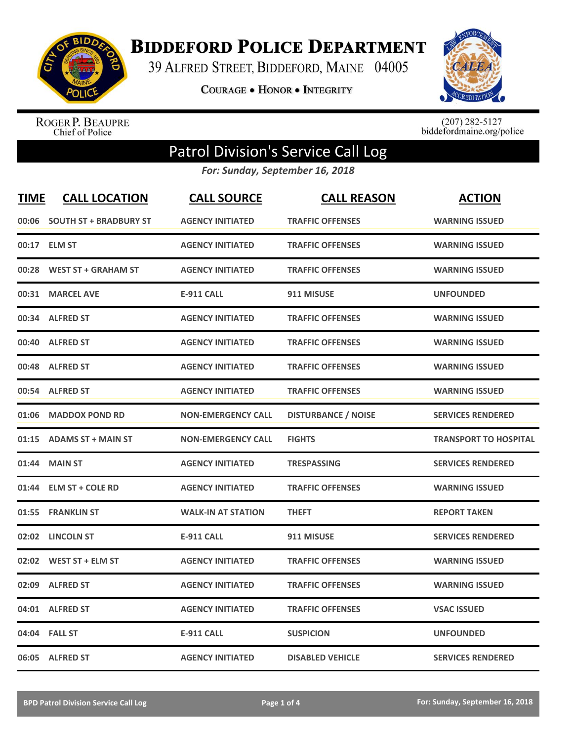

**BIDDEFORD POLICE DEPARTMENT** 

39 ALFRED STREET, BIDDEFORD, MAINE 04005

**COURAGE . HONOR . INTEGRITY** 



ROGER P. BEAUPRE<br>Chief of Police

 $(207)$  282-5127<br>biddefordmaine.org/police

## Patrol Division's Service Call Log

*For: Sunday, September 16, 2018*

| <b>TIME</b> | <b>CALL LOCATION</b>          | <b>CALL SOURCE</b>        | <b>CALL REASON</b>         | <b>ACTION</b>                |
|-------------|-------------------------------|---------------------------|----------------------------|------------------------------|
| 00:06       | <b>SOUTH ST + BRADBURY ST</b> | <b>AGENCY INITIATED</b>   | <b>TRAFFIC OFFENSES</b>    | <b>WARNING ISSUED</b>        |
|             | 00:17 ELM ST                  | <b>AGENCY INITIATED</b>   | <b>TRAFFIC OFFENSES</b>    | <b>WARNING ISSUED</b>        |
| 00:28       | <b>WEST ST + GRAHAM ST</b>    | <b>AGENCY INITIATED</b>   | <b>TRAFFIC OFFENSES</b>    | <b>WARNING ISSUED</b>        |
| 00:31       | <b>MARCEL AVE</b>             | <b>E-911 CALL</b>         | 911 MISUSE                 | <b>UNFOUNDED</b>             |
|             | 00:34 ALFRED ST               | <b>AGENCY INITIATED</b>   | <b>TRAFFIC OFFENSES</b>    | <b>WARNING ISSUED</b>        |
| 00:40       | <b>ALFRED ST</b>              | <b>AGENCY INITIATED</b>   | <b>TRAFFIC OFFENSES</b>    | <b>WARNING ISSUED</b>        |
| 00:48       | <b>ALFRED ST</b>              | <b>AGENCY INITIATED</b>   | <b>TRAFFIC OFFENSES</b>    | <b>WARNING ISSUED</b>        |
| 00:54       | <b>ALFRED ST</b>              | <b>AGENCY INITIATED</b>   | <b>TRAFFIC OFFENSES</b>    | <b>WARNING ISSUED</b>        |
| 01:06       | <b>MADDOX POND RD</b>         | <b>NON-EMERGENCY CALL</b> | <b>DISTURBANCE / NOISE</b> | <b>SERVICES RENDERED</b>     |
| 01:15       | <b>ADAMS ST + MAIN ST</b>     | <b>NON-EMERGENCY CALL</b> | <b>FIGHTS</b>              | <b>TRANSPORT TO HOSPITAL</b> |
| 01:44       | <b>MAIN ST</b>                | <b>AGENCY INITIATED</b>   | <b>TRESPASSING</b>         | <b>SERVICES RENDERED</b>     |
|             | 01:44 ELM ST + COLE RD        | <b>AGENCY INITIATED</b>   | <b>TRAFFIC OFFENSES</b>    | <b>WARNING ISSUED</b>        |
| 01:55       | <b>FRANKLIN ST</b>            | <b>WALK-IN AT STATION</b> | <b>THEFT</b>               | <b>REPORT TAKEN</b>          |
| 02:02       | <b>LINCOLN ST</b>             | <b>E-911 CALL</b>         | 911 MISUSE                 | <b>SERVICES RENDERED</b>     |
|             | 02:02 WEST ST + ELM ST        | <b>AGENCY INITIATED</b>   | <b>TRAFFIC OFFENSES</b>    | <b>WARNING ISSUED</b>        |
| 02:09       | <b>ALFRED ST</b>              | <b>AGENCY INITIATED</b>   | <b>TRAFFIC OFFENSES</b>    | <b>WARNING ISSUED</b>        |
|             | 04:01 ALFRED ST               | <b>AGENCY INITIATED</b>   | <b>TRAFFIC OFFENSES</b>    | <b>VSAC ISSUED</b>           |
|             | 04:04 FALL ST                 | <b>E-911 CALL</b>         | <b>SUSPICION</b>           | <b>UNFOUNDED</b>             |
|             | 06:05 ALFRED ST               | <b>AGENCY INITIATED</b>   | <b>DISABLED VEHICLE</b>    | <b>SERVICES RENDERED</b>     |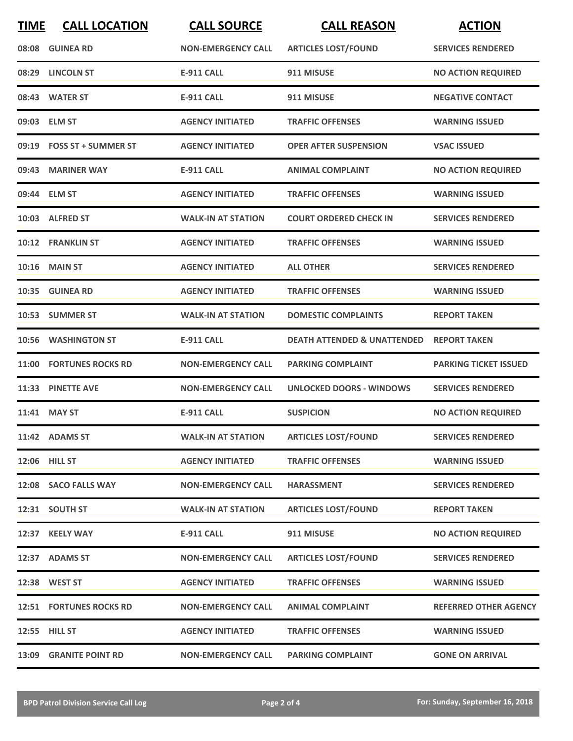| <b>TIME</b> | <b>CALL LOCATION</b>           | <b>CALL SOURCE</b>        | <b>CALL REASON</b>                     | <b>ACTION</b>                |
|-------------|--------------------------------|---------------------------|----------------------------------------|------------------------------|
|             | 08:08 GUINEA RD                | <b>NON-EMERGENCY CALL</b> | <b>ARTICLES LOST/FOUND</b>             | <b>SERVICES RENDERED</b>     |
|             | 08:29 LINCOLN ST               | <b>E-911 CALL</b>         | 911 MISUSE                             | <b>NO ACTION REQUIRED</b>    |
|             | 08:43 WATER ST                 | <b>E-911 CALL</b>         | 911 MISUSE                             | <b>NEGATIVE CONTACT</b>      |
|             | 09:03 ELM ST                   | <b>AGENCY INITIATED</b>   | <b>TRAFFIC OFFENSES</b>                | <b>WARNING ISSUED</b>        |
|             | 09:19 FOSS ST + SUMMER ST      | <b>AGENCY INITIATED</b>   | <b>OPER AFTER SUSPENSION</b>           | <b>VSAC ISSUED</b>           |
|             | 09:43 MARINER WAY              | <b>E-911 CALL</b>         | <b>ANIMAL COMPLAINT</b>                | <b>NO ACTION REQUIRED</b>    |
|             | 09:44 ELM ST                   | <b>AGENCY INITIATED</b>   | <b>TRAFFIC OFFENSES</b>                | <b>WARNING ISSUED</b>        |
|             | 10:03 ALFRED ST                | <b>WALK-IN AT STATION</b> | <b>COURT ORDERED CHECK IN</b>          | <b>SERVICES RENDERED</b>     |
| 10:12       | <b>FRANKLIN ST</b>             | <b>AGENCY INITIATED</b>   | <b>TRAFFIC OFFENSES</b>                | <b>WARNING ISSUED</b>        |
|             | <b>10:16 MAIN ST</b>           | <b>AGENCY INITIATED</b>   | <b>ALL OTHER</b>                       | <b>SERVICES RENDERED</b>     |
|             | 10:35 GUINEA RD                | <b>AGENCY INITIATED</b>   | <b>TRAFFIC OFFENSES</b>                | <b>WARNING ISSUED</b>        |
|             | 10:53 SUMMER ST                | <b>WALK-IN AT STATION</b> | <b>DOMESTIC COMPLAINTS</b>             | <b>REPORT TAKEN</b>          |
|             | 10:56 WASHINGTON ST            | <b>E-911 CALL</b>         | <b>DEATH ATTENDED &amp; UNATTENDED</b> | <b>REPORT TAKEN</b>          |
|             | 11:00 FORTUNES ROCKS RD        | <b>NON-EMERGENCY CALL</b> | <b>PARKING COMPLAINT</b>               | <b>PARKING TICKET ISSUED</b> |
|             | 11:33 PINETTE AVE              | <b>NON-EMERGENCY CALL</b> | <b>UNLOCKED DOORS - WINDOWS</b>        | <b>SERVICES RENDERED</b>     |
|             | 11:41 MAY ST                   | <b>E-911 CALL</b>         | <b>SUSPICION</b>                       | <b>NO ACTION REQUIRED</b>    |
|             | 11:42 ADAMS ST                 | <b>WALK-IN AT STATION</b> | <b>ARTICLES LOST/FOUND</b>             | <b>SERVICES RENDERED</b>     |
|             | 12:06 HILL ST                  | <b>AGENCY INITIATED</b>   | <b>TRAFFIC OFFENSES</b>                | <b>WARNING ISSUED</b>        |
|             | 12:08 SACO FALLS WAY           | <b>NON-EMERGENCY CALL</b> | <b>HARASSMENT</b>                      | <b>SERVICES RENDERED</b>     |
|             | 12:31 SOUTH ST                 | <b>WALK-IN AT STATION</b> | <b>ARTICLES LOST/FOUND</b>             | <b>REPORT TAKEN</b>          |
|             | 12:37 KEELY WAY                | <b>E-911 CALL</b>         | 911 MISUSE                             | <b>NO ACTION REQUIRED</b>    |
|             | 12:37 ADAMS ST                 | <b>NON-EMERGENCY CALL</b> | <b>ARTICLES LOST/FOUND</b>             | <b>SERVICES RENDERED</b>     |
|             | 12:38 WEST ST                  | <b>AGENCY INITIATED</b>   | <b>TRAFFIC OFFENSES</b>                | <b>WARNING ISSUED</b>        |
|             | <b>12:51 FORTUNES ROCKS RD</b> | <b>NON-EMERGENCY CALL</b> | <b>ANIMAL COMPLAINT</b>                | <b>REFERRED OTHER AGENCY</b> |
|             | 12:55 HILL ST                  | <b>AGENCY INITIATED</b>   | <b>TRAFFIC OFFENSES</b>                | <b>WARNING ISSUED</b>        |
|             | <b>13:09 GRANITE POINT RD</b>  | <b>NON-EMERGENCY CALL</b> | <b>PARKING COMPLAINT</b>               | <b>GONE ON ARRIVAL</b>       |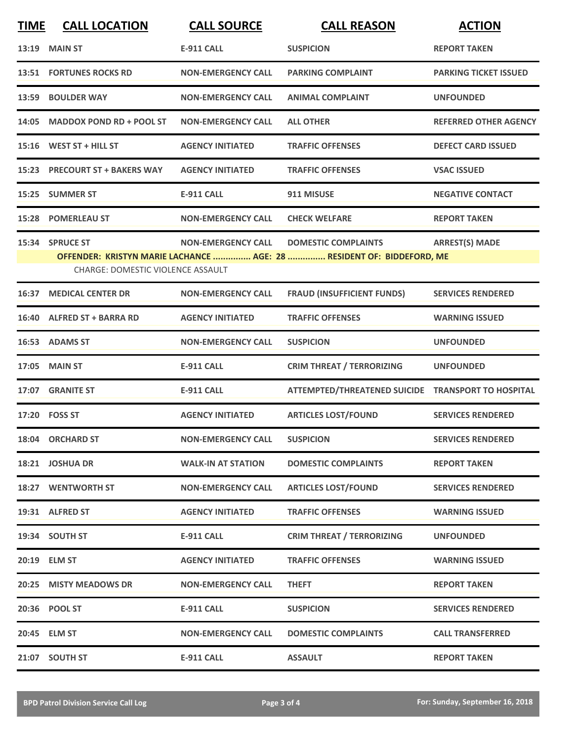| <b>TIME</b> | <b>CALL LOCATION</b>                     | <b>CALL SOURCE</b>        | <b>CALL REASON</b>                                                    | <b>ACTION</b>                |
|-------------|------------------------------------------|---------------------------|-----------------------------------------------------------------------|------------------------------|
| 13:19       | <b>MAIN ST</b>                           | <b>E-911 CALL</b>         | <b>SUSPICION</b>                                                      | <b>REPORT TAKEN</b>          |
|             | <b>13:51 FORTUNES ROCKS RD</b>           | <b>NON-EMERGENCY CALL</b> | <b>PARKING COMPLAINT</b>                                              | <b>PARKING TICKET ISSUED</b> |
|             | 13:59 BOULDER WAY                        | <b>NON-EMERGENCY CALL</b> | <b>ANIMAL COMPLAINT</b>                                               | <b>UNFOUNDED</b>             |
| 14:05       | <b>MADDOX POND RD + POOL ST</b>          | <b>NON-EMERGENCY CALL</b> | <b>ALL OTHER</b>                                                      | <b>REFERRED OTHER AGENCY</b> |
|             | 15:16 WEST ST + HILL ST                  | <b>AGENCY INITIATED</b>   | <b>TRAFFIC OFFENSES</b>                                               | <b>DEFECT CARD ISSUED</b>    |
|             | 15:23 PRECOURT ST + BAKERS WAY           | <b>AGENCY INITIATED</b>   | <b>TRAFFIC OFFENSES</b>                                               | <b>VSAC ISSUED</b>           |
|             | 15:25 SUMMER ST                          | <b>E-911 CALL</b>         | 911 MISUSE                                                            | <b>NEGATIVE CONTACT</b>      |
|             | <b>15:28 POMERLEAU ST</b>                | <b>NON-EMERGENCY CALL</b> | <b>CHECK WELFARE</b>                                                  | <b>REPORT TAKEN</b>          |
|             | 15:34 SPRUCE ST                          | <b>NON-EMERGENCY CALL</b> | <b>DOMESTIC COMPLAINTS</b>                                            | <b>ARREST(S) MADE</b>        |
|             | <b>CHARGE: DOMESTIC VIOLENCE ASSAULT</b> |                           | OFFENDER: KRISTYN MARIE LACHANCE  AGE: 28  RESIDENT OF: BIDDEFORD, ME |                              |
| 16:37       | <b>MEDICAL CENTER DR</b>                 | <b>NON-EMERGENCY CALL</b> | <b>FRAUD (INSUFFICIENT FUNDS)</b>                                     | <b>SERVICES RENDERED</b>     |
|             | 16:40 ALFRED ST + BARRA RD               | <b>AGENCY INITIATED</b>   | <b>TRAFFIC OFFENSES</b>                                               | <b>WARNING ISSUED</b>        |
|             | 16:53 ADAMS ST                           | <b>NON-EMERGENCY CALL</b> | <b>SUSPICION</b>                                                      | <b>UNFOUNDED</b>             |
| 17:05       | <b>MAIN ST</b>                           | <b>E-911 CALL</b>         | <b>CRIM THREAT / TERRORIZING</b>                                      | <b>UNFOUNDED</b>             |
|             | 17:07 GRANITE ST                         | <b>E-911 CALL</b>         | ATTEMPTED/THREATENED SUICIDE TRANSPORT TO HOSPITAL                    |                              |
|             | 17:20 FOSS ST                            | <b>AGENCY INITIATED</b>   | <b>ARTICLES LOST/FOUND</b>                                            | <b>SERVICES RENDERED</b>     |
|             | 18:04 ORCHARD ST                         | <b>NON-EMERGENCY CALL</b> | <b>SUSPICION</b>                                                      | <b>SERVICES RENDERED</b>     |
|             | 18:21 JOSHUA DR                          | <b>WALK-IN AT STATION</b> | <b>DOMESTIC COMPLAINTS</b>                                            | <b>REPORT TAKEN</b>          |
|             | 18:27 WENTWORTH ST                       | <b>NON-EMERGENCY CALL</b> | <b>ARTICLES LOST/FOUND</b>                                            | <b>SERVICES RENDERED</b>     |
|             | 19:31 ALFRED ST                          | <b>AGENCY INITIATED</b>   | <b>TRAFFIC OFFENSES</b>                                               | <b>WARNING ISSUED</b>        |
|             | 19:34 SOUTH ST                           | E-911 CALL                | <b>CRIM THREAT / TERRORIZING</b>                                      | <b>UNFOUNDED</b>             |
|             | 20:19 ELM ST                             | <b>AGENCY INITIATED</b>   | <b>TRAFFIC OFFENSES</b>                                               | <b>WARNING ISSUED</b>        |
|             | 20:25 MISTY MEADOWS DR                   | <b>NON-EMERGENCY CALL</b> | <b>THEFT</b>                                                          | <b>REPORT TAKEN</b>          |
|             | 20:36 POOL ST                            | <b>E-911 CALL</b>         | <b>SUSPICION</b>                                                      | <b>SERVICES RENDERED</b>     |
|             | 20:45 ELM ST                             | <b>NON-EMERGENCY CALL</b> | <b>DOMESTIC COMPLAINTS</b>                                            | <b>CALL TRANSFERRED</b>      |
|             | 21:07 SOUTH ST                           | <b>E-911 CALL</b>         | <b>ASSAULT</b>                                                        | <b>REPORT TAKEN</b>          |